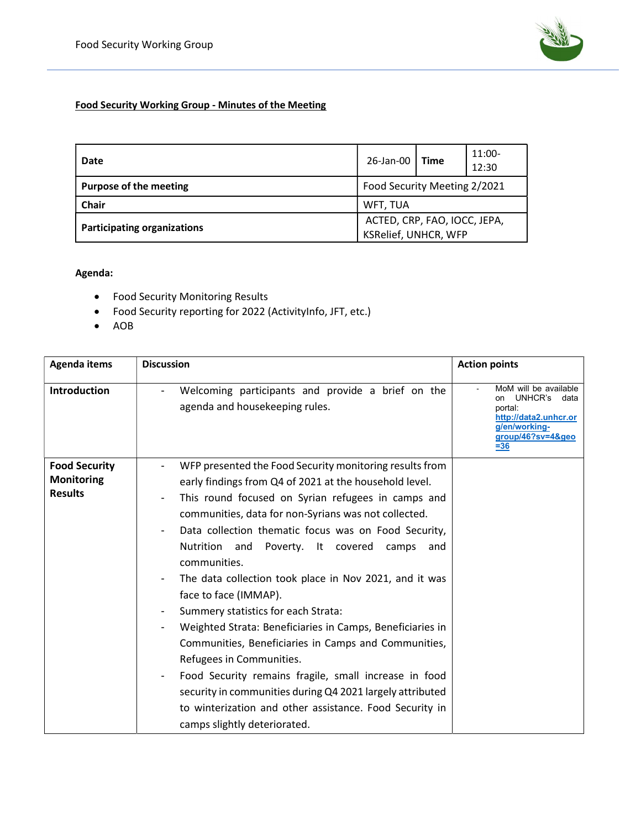

## Food Security Working Group - Minutes of the Meeting

| Date                               | 26-Jan-00   Time                                     |  | $11:00-$<br>12:30 |
|------------------------------------|------------------------------------------------------|--|-------------------|
| <b>Purpose of the meeting</b>      | Food Security Meeting 2/2021                         |  |                   |
| Chair                              | WFT, TUA                                             |  |                   |
| <b>Participating organizations</b> | ACTED, CRP, FAO, IOCC, JEPA,<br>KSRelief, UNHCR, WFP |  |                   |

Agenda:

- Food Security Monitoring Results
- Food Security reporting for 2022 (ActivityInfo, JFT, etc.)
- AOB

| Agenda items                                                | <b>Discussion</b>                                                                                                                                                                                                                                                                                                                                                                                                                                                                      | <b>Action points</b>                                                                                                               |
|-------------------------------------------------------------|----------------------------------------------------------------------------------------------------------------------------------------------------------------------------------------------------------------------------------------------------------------------------------------------------------------------------------------------------------------------------------------------------------------------------------------------------------------------------------------|------------------------------------------------------------------------------------------------------------------------------------|
| <b>Introduction</b>                                         | Welcoming participants and provide a brief on the<br>agenda and housekeeping rules.                                                                                                                                                                                                                                                                                                                                                                                                    | MoM will be available<br>UNHCR's<br>data<br>on<br>portal:<br>http://data2.unhcr.or<br>g/en/working-<br>group/46?sv=4&geo<br>$= 36$ |
| <b>Food Security</b><br><b>Monitoring</b><br><b>Results</b> | WFP presented the Food Security monitoring results from<br>early findings from Q4 of 2021 at the household level.<br>This round focused on Syrian refugees in camps and<br>$\overline{\phantom{a}}$<br>communities, data for non-Syrians was not collected.<br>Data collection thematic focus was on Food Security,<br>Nutrition and<br>Poverty. It covered<br>camps<br>and<br>communities.<br>The data collection took place in Nov 2021, and it was                                  |                                                                                                                                    |
|                                                             | face to face (IMMAP).<br>Summery statistics for each Strata:<br>$\overline{\phantom{a}}$<br>Weighted Strata: Beneficiaries in Camps, Beneficiaries in<br>Communities, Beneficiaries in Camps and Communities,<br>Refugees in Communities.<br>Food Security remains fragile, small increase in food<br>$\overline{\phantom{a}}$<br>security in communities during Q4 2021 largely attributed<br>to winterization and other assistance. Food Security in<br>camps slightly deteriorated. |                                                                                                                                    |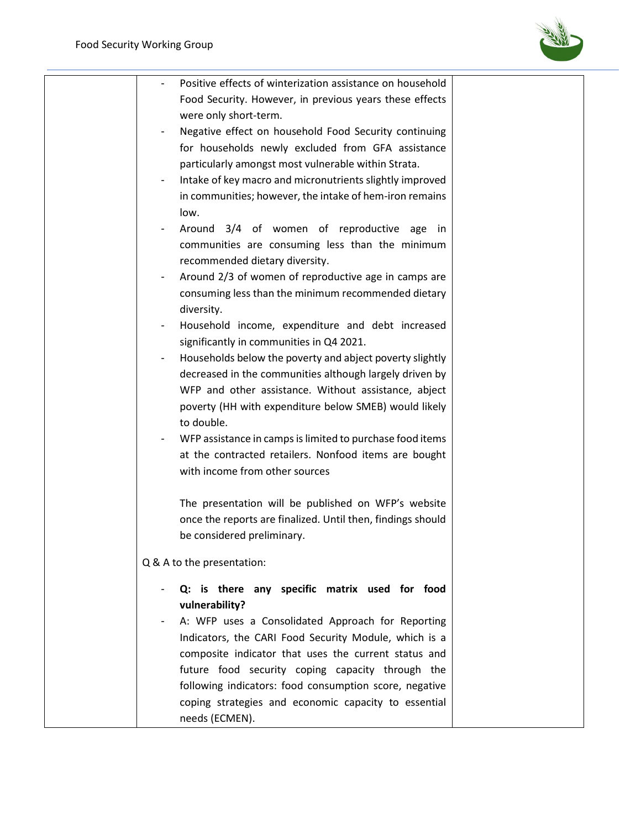

| Positive effects of winterization assistance on household<br>Food Security. However, in previous years these effects |  |
|----------------------------------------------------------------------------------------------------------------------|--|
|                                                                                                                      |  |
|                                                                                                                      |  |
| were only short-term.                                                                                                |  |
| Negative effect on household Food Security continuing                                                                |  |
| for households newly excluded from GFA assistance                                                                    |  |
| particularly amongst most vulnerable within Strata.                                                                  |  |
| Intake of key macro and micronutrients slightly improved                                                             |  |
| in communities; however, the intake of hem-iron remains                                                              |  |
| low.                                                                                                                 |  |
|                                                                                                                      |  |
| Around 3/4 of women of reproductive age in                                                                           |  |
| communities are consuming less than the minimum                                                                      |  |
| recommended dietary diversity.                                                                                       |  |
| Around 2/3 of women of reproductive age in camps are                                                                 |  |
| consuming less than the minimum recommended dietary                                                                  |  |
| diversity.                                                                                                           |  |
| Household income, expenditure and debt increased                                                                     |  |
| significantly in communities in Q4 2021.                                                                             |  |
| Households below the poverty and abject poverty slightly                                                             |  |
| decreased in the communities although largely driven by                                                              |  |
| WFP and other assistance. Without assistance, abject                                                                 |  |
| poverty (HH with expenditure below SMEB) would likely                                                                |  |
| to double.                                                                                                           |  |
| WFP assistance in camps is limited to purchase food items                                                            |  |
| at the contracted retailers. Nonfood items are bought                                                                |  |
| with income from other sources                                                                                       |  |
|                                                                                                                      |  |
| The presentation will be published on WFP's website                                                                  |  |
| once the reports are finalized. Until then, findings should                                                          |  |
| be considered preliminary.                                                                                           |  |
|                                                                                                                      |  |
| Q & A to the presentation:                                                                                           |  |
| Q: is there any specific matrix used for food                                                                        |  |
| vulnerability?                                                                                                       |  |
| A: WFP uses a Consolidated Approach for Reporting                                                                    |  |
| Indicators, the CARI Food Security Module, which is a                                                                |  |
| composite indicator that uses the current status and                                                                 |  |
|                                                                                                                      |  |
| future food security coping capacity through the                                                                     |  |
| following indicators: food consumption score, negative                                                               |  |
| coping strategies and economic capacity to essential                                                                 |  |
| needs (ECMEN).                                                                                                       |  |